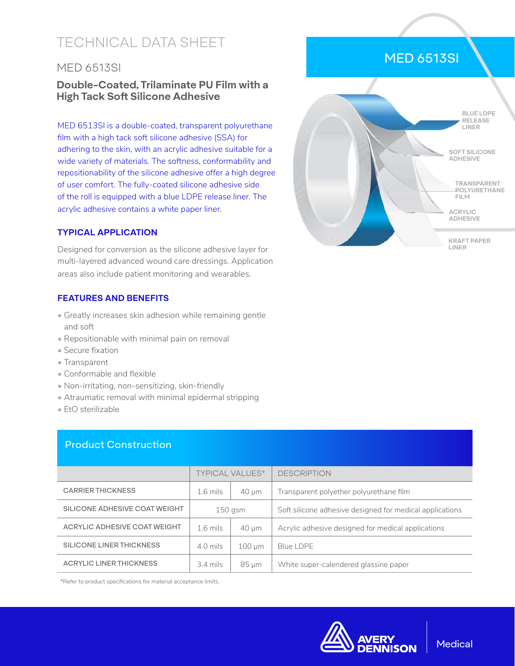# TECHNICAL DATA SHEET

# MED 6513SI

# **Double-Coated, Trilaminate PU Film with a High Tack Soft Silicone Adhesive**

MED 6513SI is a double-coated, transparent polyurethane film with a high tack soft silicone adhesive (SSA) for adhering to the skin, with an acrylic adhesive suitable for a wide variety of materials. The softness, conformability and repositionability of the silicone adhesive offer a high degree of user comfort. The fully-coated silicone adhesive side of the roll is equipped with a blue LDPE release liner. The acrylic adhesive contains a white paper liner.

#### **TYPICAL APPLICATION**

Designed for conversion as the silicone adhesive layer for multi-layered advanced wound care dressings. Application areas also include patient monitoring and wearables.

#### **FEATURES AND BENEFITS**

- Greatly increases skin adhesion while remaining gentle and soft
- Repositionable with minimal pain on removal
- Secure fixation
- Transparent
- Conformable and flexible
- Non-irritating, non-sensitizing, skin-friendly
- Atraumatic removal with minimal epidermal stripping
- EtO sterilizable

### Product Construction

|                                | <b>TYPICAL VALUES*</b> |             | <b>DESCRIPTION</b>                                       |  |
|--------------------------------|------------------------|-------------|----------------------------------------------------------|--|
| <b>CARRIER THICKNESS</b>       | $1.6$ mils             | $40 \mu m$  | Transparent polyether polyurethane film                  |  |
| SILICONE ADHESIVE COAT WEIGHT  | $150$ gsm              |             | Soft silicone adhesive designed for medical applications |  |
| ACRYLIC ADHESIVE COAT WEIGHT   | $1.6$ mils             | $40 \mu m$  | Acrylic adhesive designed for medical applications       |  |
| SILICONE LINER THICKNESS       | 4.0 mils               | $100 \mu m$ | <b>Blue LDPE</b>                                         |  |
| <b>ACRYLIC LINER THICKNESS</b> | $3.4$ mils             | $85 \mu m$  | White super-calendered glassine paper                    |  |

\*Refer to product specifications for material acceptance limits.